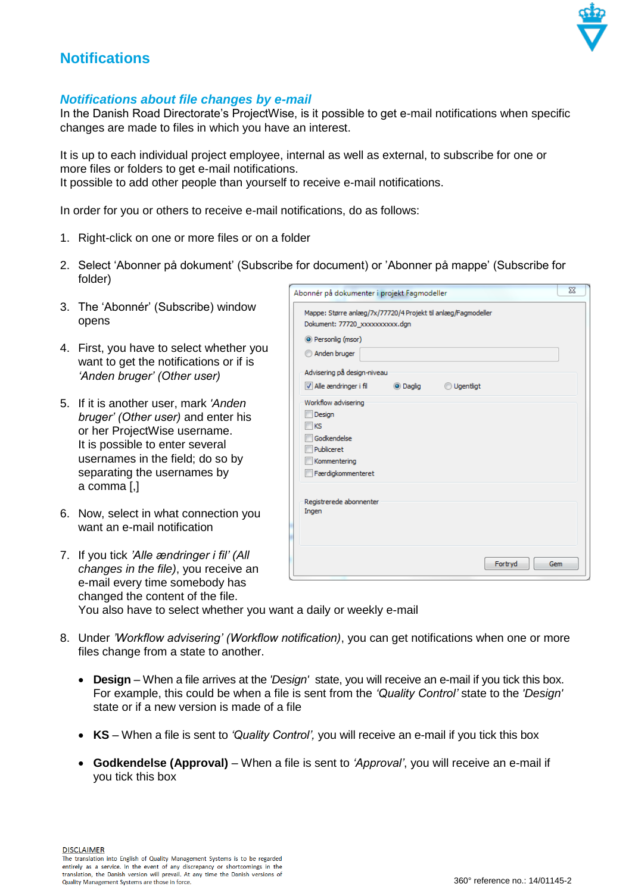

## **Notifications**

## *Notifications about file changes by e-mail*

In the Danish Road Directorate's ProjectWise, is it possible to get e-mail notifications when specific changes are made to files in which you have an interest.

It is up to each individual project employee, internal as well as external, to subscribe for one or more files or folders to get e-mail notifications. It possible to add other people than yourself to receive e-mail notifications.

In order for you or others to receive e-mail notifications, do as follows:

- 1. Right-click on one or more files or on a folder
- 2. Select 'Abonner på dokument' (Subscribe for document) or 'Abonner på mappe' (Subscribe for folder)  $\overline{\phantom{a}}$
- 3. The 'Abonnér' (Subscribe) window opens
- 4. First, you have to select whether you want to get the notifications or if is *'Anden bruger' (Other user)*
- 5. If it is another user, mark *'Anden bruger' (Other user)* and enter his or her ProjectWise username. It is possible to enter several usernames in the field; do so by separating the usernames by a comma [,]
- 6. Now, select in what connection you want an e-mail notification

| Dokument: 77720_xxxxxxxxxx.dgn   |           |                  |  |
|----------------------------------|-----------|------------------|--|
| <sup>O</sup> Personlig (msor)    |           |                  |  |
| Anden bruger                     |           |                  |  |
| Advisering på design-niveau      |           |                  |  |
| Alle ændringer i fil             | ig Daglig | <b>Ugentligt</b> |  |
| Workflow advisering              |           |                  |  |
| Design                           |           |                  |  |
| KS                               |           |                  |  |
| Godkendelse                      |           |                  |  |
| Publiceret                       |           |                  |  |
| Kommentering                     |           |                  |  |
| Færdigkommenteret                |           |                  |  |
|                                  |           |                  |  |
| Registrerede abonnenter<br>Ingen |           |                  |  |
|                                  |           |                  |  |
|                                  |           |                  |  |
|                                  |           |                  |  |

| 7. If you tick 'Alle ændringer i fil' (All                        |  |
|-------------------------------------------------------------------|--|
| changes in the file), you receive an                              |  |
| e-mail every time somebody has                                    |  |
| changed the content of the file.                                  |  |
| You also have to select whether you want a daily or weekly e-mail |  |

- 8. Under *'Workflow advisering' (Workflow notification)*, you can get notifications when one or more files change from a state to another.
	- **Design** When a file arrives at the *'Design'* state, you will receive an e-mail if you tick this box. For example, this could be when a file is sent from the *'Quality Control'* state to the *'Design'*  state or if a new version is made of a file
	- **KS** When a file is sent to *'Quality Control',* you will receive an e-mail if you tick this box
	- **Godkendelse (Approval)**  When a file is sent to *'Approval'*, you will receive an e-mail if you tick this box

**DISCLAIMER** 

The translation into English of Quality Management Systems is to be regarded entirely as a service. In the event of any discrepancy or shortcomings in the translation, the Danish version will prevail. At any time the Danish versions of Quality Management Systems are those in force.